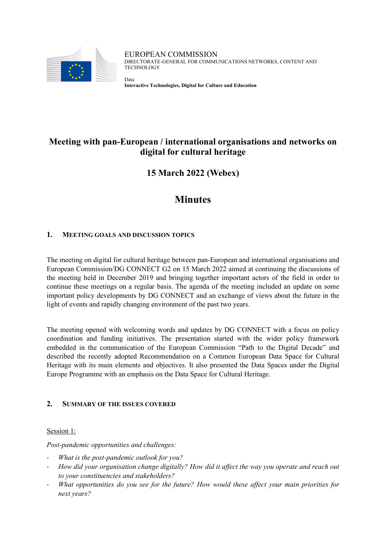

EUROPEAN COMMISSION DIRECTORATE-GENERAL FOR COMMUNICATIONS NETWORKS, CONTENT AND **TECHNOLOGY** 

**Interactive Technologies, Digital for Culture and Education**

# **Meeting with pan-European / international organisations and networks on digital for cultural heritage**

**15 March 2022 (Webex)**

# **Minutes**

## **1. MEETING GOALS AND DISCUSSION TOPICS**

Data

The meeting on digital for cultural heritage between pan-European and international organisations and European Commission/DG CONNECT G2 on 15 March 2022 aimed at continuing the discussions of the meeting held in December 2019 and bringing together important actors of the field in order to continue these meetings on a regular basis. The agenda of the meeting included an update on some important policy developments by DG CONNECT and an exchange of views about the future in the light of events and rapidly changing environment of the past two years.

The meeting opened with welcoming words and updates by DG CONNECT with a focus on policy coordination and funding initiatives. The presentation started with the wider policy framework embedded in the communication of the European Commission "Path to the Digital Decade" and described the recently adopted Recommendation on a Common European Data Space for Cultural Heritage with its main elements and objectives. It also presented the Data Spaces under the Digital Europe Programme with an emphasis on the Data Space for Cultural Heritage.

## **2. SUMMARY OF THE ISSUES COVERED**

Session 1:

*Post-pandemic opportunities and challenges:*

- *What is the post-pandemic outlook for you?*
- *How did your organisation change digitally? How did it affect the way you operate and reach out to your constituencies and stakeholders?*
- *What opportunities do you see for the future? How would these affect your main priorities for next years?*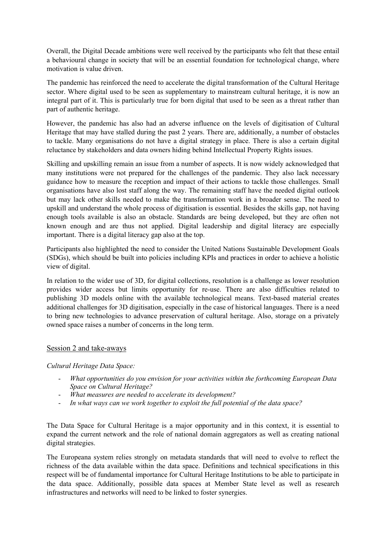Overall, the Digital Decade ambitions were well received by the participants who felt that these entail a behavioural change in society that will be an essential foundation for technological change, where motivation is value driven.

The pandemic has reinforced the need to accelerate the digital transformation of the Cultural Heritage sector. Where digital used to be seen as supplementary to mainstream cultural heritage, it is now an integral part of it. This is particularly true for born digital that used to be seen as a threat rather than part of authentic heritage.

However, the pandemic has also had an adverse influence on the levels of digitisation of Cultural Heritage that may have stalled during the past 2 years. There are, additionally, a number of obstacles to tackle. Many organisations do not have a digital strategy in place. There is also a certain digital reluctance by stakeholders and data owners hiding behind Intellectual Property Rights issues.

Skilling and upskilling remain an issue from a number of aspects. It is now widely acknowledged that many institutions were not prepared for the challenges of the pandemic. They also lack necessary guidance how to measure the reception and impact of their actions to tackle those challenges. Small organisations have also lost staff along the way. The remaining staff have the needed digital outlook but may lack other skills needed to make the transformation work in a broader sense. The need to upskill and understand the whole process of digitisation is essential. Besides the skills gap, not having enough tools available is also an obstacle. Standards are being developed, but they are often not known enough and are thus not applied. Digital leadership and digital literacy are especially important. There is a digital literacy gap also at the top.

Participants also highlighted the need to consider the United Nations Sustainable Development Goals (SDGs), which should be built into policies including KPIs and practices in order to achieve a holistic view of digital.

In relation to the wider use of 3D, for digital collections, resolution is a challenge as lower resolution provides wider access but limits opportunity for re-use. There are also difficulties related to publishing 3D models online with the available technological means. Text-based material creates additional challenges for 3D digitisation, especially in the case of historical languages. There is a need to bring new technologies to advance preservation of cultural heritage. Also, storage on a privately owned space raises a number of concerns in the long term.

#### Session 2 and take-aways

*Cultural Heritage Data Space:*

- *What opportunities do you envision for your activities within the forthcoming European Data Space on Cultural Heritage?*
- *What measures are needed to accelerate its development?*
- In what ways can we work together to exploit the full potential of the data space?

The Data Space for Cultural Heritage is a major opportunity and in this context, it is essential to expand the current network and the role of national domain aggregators as well as creating national digital strategies.

The Europeana system relies strongly on metadata standards that will need to evolve to reflect the richness of the data available within the data space. Definitions and technical specifications in this respect will be of fundamental importance for Cultural Heritage Institutions to be able to participate in the data space. Additionally, possible data spaces at Member State level as well as research infrastructures and networks will need to be linked to foster synergies.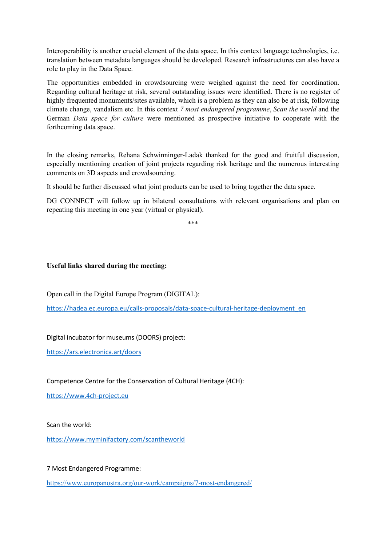Interoperability is another crucial element of the data space. In this context language technologies, i.e. translation between metadata languages should be developed. Research infrastructures can also have a role to play in the Data Space.

The opportunities embedded in crowdsourcing were weighed against the need for coordination. Regarding cultural heritage at risk, several outstanding issues were identified. There is no register of highly frequented monuments/sites available, which is a problem as they can also be at risk, following climate change, vandalism etc. In this context *7 most endangered programme*, *Scan the world* and the German *Data space for culture* were mentioned as prospective initiative to cooperate with the forthcoming data space.

In the closing remarks, Rehana Schwinninger-Ladak thanked for the good and fruitful discussion, especially mentioning creation of joint projects regarding risk heritage and the numerous interesting comments on 3D aspects and crowdsourcing.

It should be further discussed what joint products can be used to bring together the data space.

DG CONNECT will follow up in bilateral consultations with relevant organisations and plan on repeating this meeting in one year (virtual or physical).

\*\*\*

#### **Useful links shared during the meeting:**

Open call in the Digital Europe Program (DIGITAL):

[https://hadea.ec.europa.eu/calls-proposals/data-space-cultural-heritage-deployment\\_en](https://hadea.ec.europa.eu/calls-proposals/data-space-cultural-heritage-deployment_en)

Digital incubator for museums (DOORS) project:

<https://ars.electronica.art/doors>

Competence Centre for the Conservation of Cultural Heritage (4CH):

[https://www.4ch-project.eu](https://www.4ch-project.eu/)

Scan the world:

<https://www.myminifactory.com/scantheworld>

7 Most Endangered Programme:

<https://www.europanostra.org/our-work/campaigns/7-most-endangered/>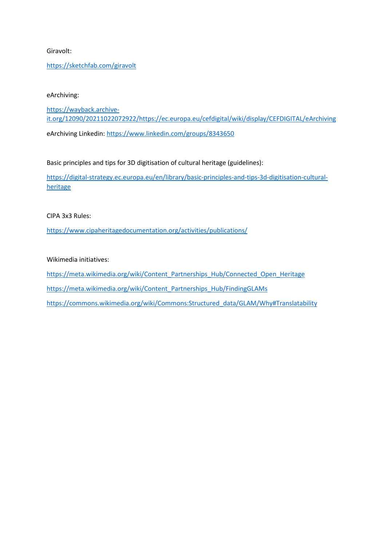#### Giravolt:

#### <https://sketchfab.com/giravolt>

#### eArchiving:

[https://wayback.archive](https://wayback.archive-it.org/12090/20211022072922/https:/ec.europa.eu/cefdigital/wiki/display/CEFDIGITAL/eArchiving)[it.org/12090/20211022072922/https://ec.europa.eu/cefdigital/wiki/display/CEFDIGITAL/eArchiving](https://wayback.archive-it.org/12090/20211022072922/https:/ec.europa.eu/cefdigital/wiki/display/CEFDIGITAL/eArchiving) eArchiving Linkedin[: https://www.linkedin.com/groups/8343650](https://www.linkedin.com/groups/8343650)

Basic principles and tips for 3D digitisation of cultural heritage (guidelines):

[https://digital-strategy.ec.europa.eu/en/library/basic-principles-and-tips-3d-digitisation-cultural](https://digital-strategy.ec.europa.eu/en/library/basic-principles-and-tips-3d-digitisation-cultural-heritage)[heritage](https://digital-strategy.ec.europa.eu/en/library/basic-principles-and-tips-3d-digitisation-cultural-heritage)

CIPA 3x3 Rules:

<https://www.cipaheritagedocumentation.org/activities/publications/>

Wikimedia initiatives:

[https://meta.wikimedia.org/wiki/Content\\_Partnerships\\_Hub/Connected\\_Open\\_Heritage](https://meta.wikimedia.org/wiki/Content_Partnerships_Hub/Connected_Open_Heritage)

[https://meta.wikimedia.org/wiki/Content\\_Partnerships\\_Hub/FindingGLAMs](https://meta.wikimedia.org/wiki/Content_Partnerships_Hub/FindingGLAMs)

[https://commons.wikimedia.org/wiki/Commons:Structured\\_data/GLAM/Why#Translatability](https://commons.wikimedia.org/wiki/Commons:Structured_data/GLAM/Why#Translatability)